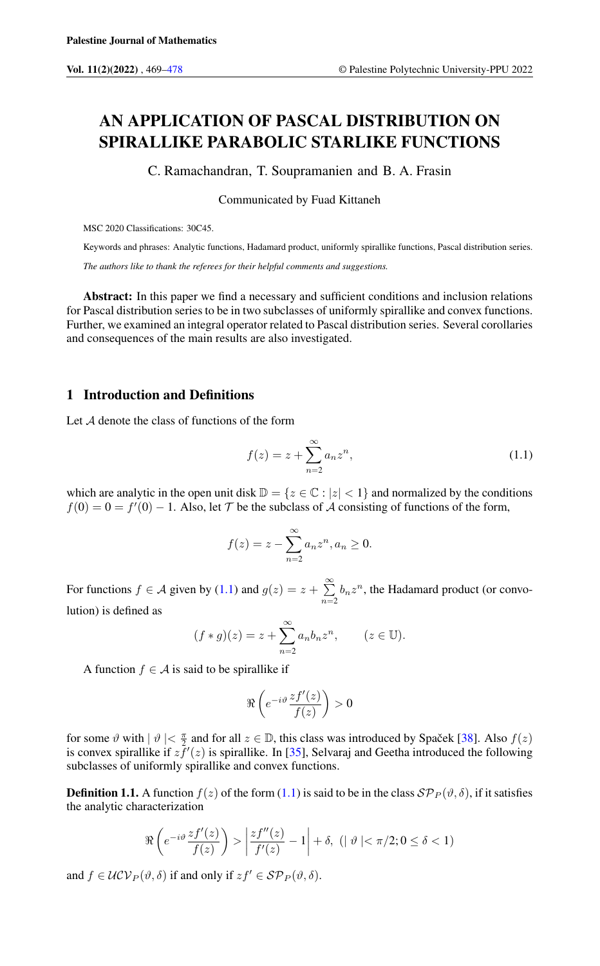# AN APPLICATION OF PASCAL DISTRIBUTION ON SPIRALLIKE PARABOLIC STARLIKE FUNCTIONS

C. Ramachandran, T. Soupramanien and B. A. Frasin

Communicated by Fuad Kittaneh

MSC 2020 Classifications: 30C45.

Keywords and phrases: Analytic functions, Hadamard product, uniformly spirallike functions, Pascal distribution series. *The authors like to thank the referees for their helpful comments and suggestions.*

Abstract: In this paper we find a necessary and sufficient conditions and inclusion relations for Pascal distribution series to be in two subclasses of uniformly spirallike and convex functions. Further, we examined an integral operator related to Pascal distribution series. Several corollaries and consequences of the main results are also investigated.

# 1 Introduction and Definitions

Let A denote the class of functions of the form

<span id="page-0-0"></span>
$$
f(z) = z + \sum_{n=2}^{\infty} a_n z^n,
$$
 (1.1)

which are analytic in the open unit disk  $\mathbb{D} = \{z \in \mathbb{C} : |z| < 1\}$  and normalized by the conditions  $f(0) = 0 = f'(0) - 1$ . Also, let T be the subclass of A consisting of functions of the form,

$$
f(z) = z - \sum_{n=2}^{\infty} a_n z^n, a_n \ge 0.
$$

For functions  $f \in \mathcal{A}$  given by [\(1.1\)](#page-0-0) and  $g(z) = z + \sum_{n=1}^{\infty}$  $\sum_{n=2} b_n z^n$ , the Hadamard product (or convolution) is defined as

$$
(f * g)(z) = z + \sum_{n=2}^{\infty} a_n b_n z^n, \qquad (z \in \mathbb{U}).
$$

A function  $f \in A$  is said to be spirallike if

$$
\Re\left(e^{-i\vartheta}\frac{zf'(z)}{f(z)}\right) > 0
$$

for some  $\vartheta$  with  $|\vartheta| < \frac{\pi}{2}$  and for all  $z \in \mathbb{D}$ , this class was introduced by Spacek [[38\]](#page-9-0). Also  $f(z)$ is convex spirallike if  $z\bar{f}'(z)$  is spirallike. In [\[35\]](#page-8-0), Selvaraj and Geetha introduced the following subclasses of uniformly spirallike and convex functions.

**Definition 1.1.** A function  $f(z)$  of the form [\(1.1\)](#page-0-0) is said to be in the class  $\mathcal{SP}_P(\vartheta, \delta)$ , if it satisfies the analytic characterization

$$
\Re\left(e^{-i\vartheta}\frac{zf'(z)}{f(z)}\right) > \left|\frac{zf''(z)}{f'(z)} - 1\right| + \delta, \quad \left(|\vartheta| < \pi/2; 0 \le \delta < 1\right)
$$

and  $f \in \mathcal{UCV}_P(\vartheta, \delta)$  if and only if  $zf' \in \mathcal{SP}_P(\vartheta, \delta)$ .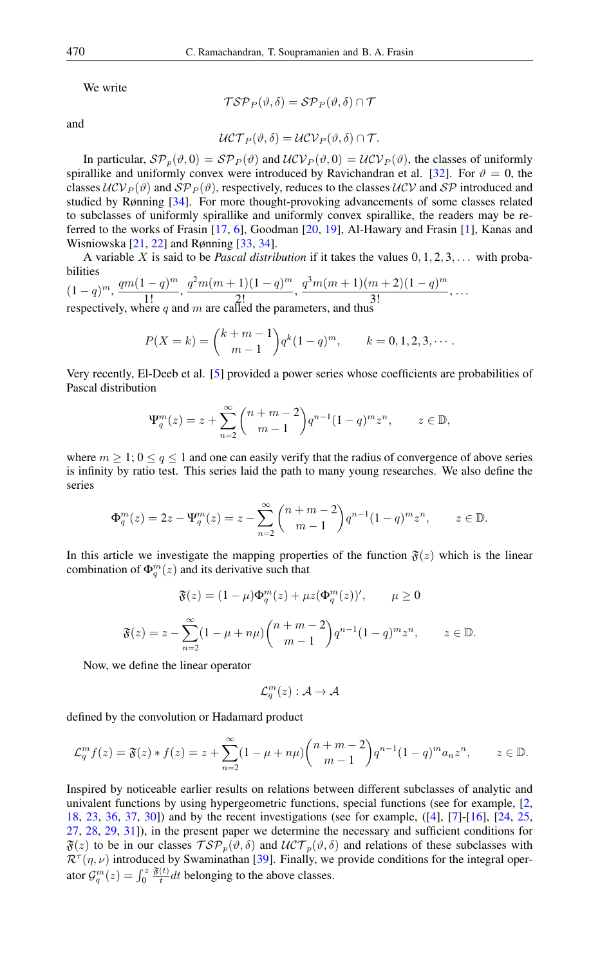We write

$$
\mathcal{TSP}_P(\vartheta,\delta) = \mathcal{SP}_P(\vartheta,\delta) \cap \mathcal{T}
$$

and

$$
\mathcal{UCT}_P(\vartheta,\delta)=\mathcal{UCV}_P(\vartheta,\delta)\cap \mathcal{T}.
$$

In particular,  $\mathcal{SP}_p(\vartheta, 0) = \mathcal{SP}_P(\vartheta)$  and  $\mathcal{UCV}_P(\vartheta, 0) = \mathcal{UCV}_P(\vartheta)$ , the classes of uniformly spirallike and uniformly convex were introduced by Ravichandran et al. [\[32\]](#page-8-1). For  $\vartheta = 0$ , the classes  $UCV<sub>P</sub>(\vartheta)$  and  $SP<sub>P</sub>(\vartheta)$ , respectively, reduces to the classes  $UCV$  and  $SP$  introduced and studied by Rønning [\[34\]](#page-8-2). For more thought-provoking advancements of some classes related to subclasses of uniformly spirallike and uniformly convex spirallike, the readers may be referred to the works of Frasin [\[17,](#page-8-3) [6\]](#page-7-1), Goodman [\[20,](#page-8-4) [19\]](#page-8-5), Al-Hawary and Frasin [\[1\]](#page-7-2), Kanas and Wisniowska [\[21,](#page-8-6) [22\]](#page-8-7) and Rønning [\[33,](#page-8-8) [34\]](#page-8-2).

A variable X is said to be *Pascal distribution* if it takes the values  $0, 1, 2, 3, \ldots$  with probabilities

$$
(1-q)^m
$$
,  $\frac{qm(1-q)^m}{1!}$ ,  $\frac{q^2m(m+1)(1-q)^m}{2!}$ ,  $\frac{q^3m(m+1)(m+2)(1-q)^m}{3!}$ , ...  
respectively, where q and m are called the parameters, and thus

$$
P(X = k) = {k+m-1 \choose m-1} q^{k} (1-q)^{m}, \qquad k = 0, 1, 2, 3, \cdots.
$$

Very recently, El-Deeb et al. [\[5\]](#page-7-3) provided a power series whose coefficients are probabilities of Pascal distribution

$$
\Psi_q^m(z) = z + \sum_{n=2}^{\infty} {n+m-2 \choose m-1} q^{n-1} (1-q)^m z^n, \qquad z \in \mathbb{D},
$$

where  $m \geq 1$ ;  $0 \leq q \leq 1$  and one can easily verify that the radius of convergence of above series is infinity by ratio test. This series laid the path to many young researches. We also define the series

$$
\Phi_q^m(z) = 2z - \Psi_q^m(z) = z - \sum_{n=2}^{\infty} {n+m-2 \choose m-1} q^{n-1} (1-q)^m z^n, \qquad z \in \mathbb{D}.
$$

In this article we investigate the mapping properties of the function  $\mathfrak{F}(z)$  which is the linear combination of  $\Phi_q^m(z)$  and its derivative such that

$$
\mathfrak{F}(z) = (1 - \mu)\Phi_q^m(z) + \mu z (\Phi_q^m(z))', \qquad \mu \ge 0
$$
  

$$
\mathfrak{F}(z) = z - \sum_{n=2}^{\infty} (1 - \mu + n\mu) {n+m-2 \choose m-1} q^{n-1} (1-q)^m z^n, \qquad z \in \mathbb{D}.
$$

Now, we define the linear operator

$$
\mathcal{L}_q^m(z): \mathcal{A} \to \mathcal{A}
$$

defined by the convolution or Hadamard product

$$
\mathcal{L}_q^m f(z) = \mathfrak{F}(z) * f(z) = z + \sum_{n=2}^{\infty} (1 - \mu + n\mu) {n + m - 2 \choose m - 1} q^{n-1} (1 - q)^m a_n z^n, \qquad z \in \mathbb{D}.
$$

Inspired by noticeable earlier results on relations between different subclasses of analytic and univalent functions by using hypergeometric functions, special functions (see for example, [\[2,](#page-7-4) [18,](#page-8-9) [23,](#page-8-10) [36,](#page-8-11) [37,](#page-9-1) [30\]](#page-8-12)) and by the recent investigations (see for example, ([\[4\]](#page-7-5), [\[7\]](#page-7-6)-[\[16\]](#page-8-13), [\[24,](#page-8-14) [25,](#page-8-15) [27,](#page-8-16) [28,](#page-8-17) [29,](#page-8-18) [31\]](#page-8-19)), in the present paper we determine the necessary and sufficient conditions for  $\mathfrak{F}(z)$  to be in our classes  $\mathcal{TP}_p(\vartheta,\delta)$  and  $\mathcal{UCT}_p(\vartheta,\delta)$  and relations of these subclasses with  $\mathcal{R}^{\tau}(\eta,\nu)$  introduced by Swaminathan [\[39\]](#page-9-2). Finally, we provide conditions for the integral operator  $\mathcal{G}_q^m(z) = \int_0^z$  $\mathfrak{F}(t)$  $\frac{t}{t} dt$  belonging to the above classes.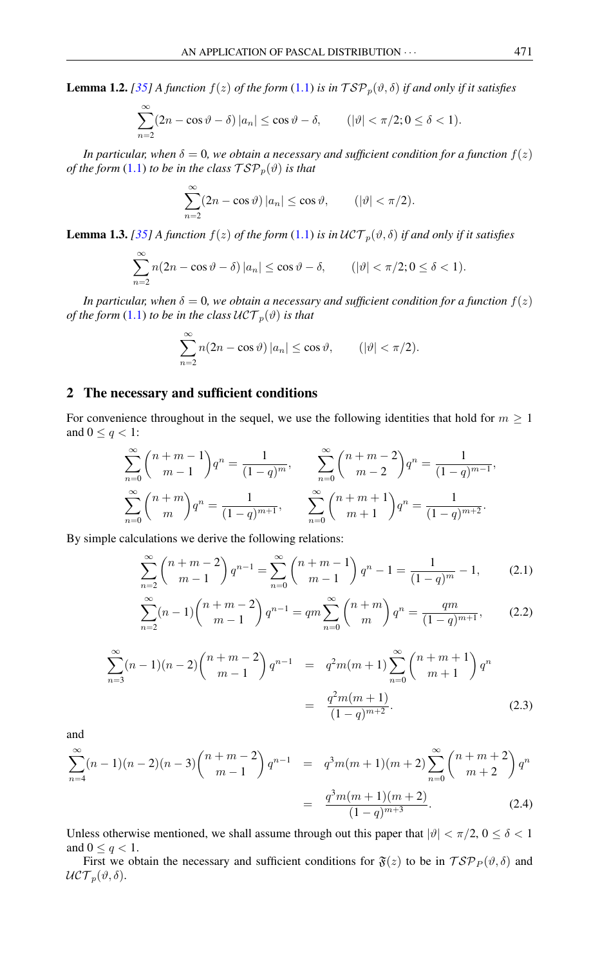<span id="page-2-0"></span>**Lemma 1.2.** *[\[35\]](#page-8-0) A* function  $f(z)$  *of the form* [\(1.1\)](#page-0-0) *is in*  $TSP_p(\vartheta, \delta)$  *if and only if it satisfies* 

$$
\sum_{n=2}^{\infty} (2n - \cos \vartheta - \delta) |a_n| \le \cos \vartheta - \delta, \qquad (|\vartheta| < \pi/2; 0 \le \delta < 1).
$$

*In particular, when*  $\delta = 0$ *, we obtain a necessary and sufficient condition for a function*  $f(z)$ *of the form* [\(1.1\)](#page-0-0) *to be in the class*  $\mathcal{TSP}_p(\vartheta)$  *is that* 

$$
\sum_{n=2}^{\infty} (2n - \cos \vartheta) |a_n| \le \cos \vartheta, \qquad (|\vartheta| < \pi/2).
$$

<span id="page-2-3"></span>**Lemma 1.3.** *[\[35\]](#page-8-0) A function*  $f(z)$  *of the form* [\(1.1\)](#page-0-0) *is in*  $\mathcal{UCT}_p(\vartheta, \delta)$  *if and only if it satisfies* 

$$
\sum_{n=2}^{\infty} n(2n - \cos \vartheta - \delta) |a_n| \le \cos \vartheta - \delta, \qquad (|\vartheta| < \pi/2; 0 \le \delta < 1).
$$

*In particular, when*  $\delta = 0$ *, we obtain a necessary and sufficient condition for a function*  $f(z)$ *of the form* [\(1.1\)](#page-0-0) *to be in the class*  $\mathcal{UCT}_p(\vartheta)$  *is that* 

$$
\sum_{n=2}^{\infty} n(2n - \cos \vartheta) |a_n| \le \cos \vartheta, \qquad (|\vartheta| < \pi/2).
$$

# 2 The necessary and sufficient conditions

For convenience throughout in the sequel, we use the following identities that hold for  $m \geq 1$ and  $0 \leq q < 1$ :

$$
\sum_{n=0}^{\infty} {n+m-1 \choose m-1} q^n = \frac{1}{(1-q)^m}, \qquad \sum_{n=0}^{\infty} {n+m-2 \choose m-2} q^n = \frac{1}{(1-q)^{m-1}},
$$
  

$$
\sum_{n=0}^{\infty} {n+m \choose m} q^n = \frac{1}{(1-q)^{m+1}}, \qquad \sum_{n=0}^{\infty} {n+m+1 \choose m+1} q^n = \frac{1}{(1-q)^{m+2}}.
$$

By simple calculations we derive the following relations:

<span id="page-2-1"></span>
$$
\sum_{n=2}^{\infty} \binom{n+m-2}{m-1} q^{n-1} = \sum_{n=0}^{\infty} \binom{n+m-1}{m-1} q^n - 1 = \frac{1}{(1-q)^m} - 1,\tag{2.1}
$$

$$
\sum_{n=2}^{\infty} (n-1) \binom{n+m-2}{m-1} q^{n-1} = qm \sum_{n=0}^{\infty} \binom{n+m}{m} q^n = \frac{qm}{(1-q)^{m+1}},\tag{2.2}
$$

<span id="page-2-2"></span>
$$
\sum_{n=3}^{\infty} (n-1)(n-2) \binom{n+m-2}{m-1} q^{n-1} = q^2 m(m+1) \sum_{n=0}^{\infty} \binom{n+m+1}{m+1} q^n
$$

$$
= \frac{q^2 m(m+1)}{(1-q)^{m+2}}.
$$
(2.3)

and

<span id="page-2-4"></span>
$$
\sum_{n=4}^{\infty} (n-1)(n-2)(n-3) \binom{n+m-2}{m-1} q^{n-1} = q^3 m(m+1)(m+2) \sum_{n=0}^{\infty} \binom{n+m+2}{m+2} q^n
$$

$$
= \frac{q^3 m(m+1)(m+2)}{(1-q)^{m+3}}.
$$
(2.4)

Unless otherwise mentioned, we shall assume through out this paper that  $|\vartheta| < \pi/2$ ,  $0 \le \delta < 1$ and  $0 \leq q < 1$ .

First we obtain the necessary and sufficient conditions for  $\mathfrak{F}(z)$  to be in  $\mathcal{TSP}_P(\vartheta, \delta)$  and  $\mathcal{UCT}_p(\vartheta,\delta).$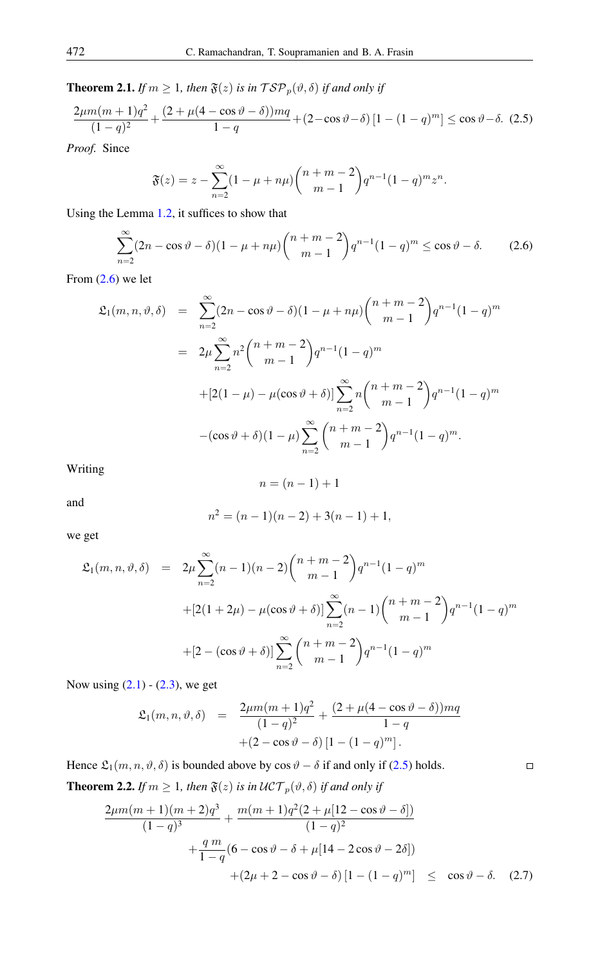<span id="page-3-3"></span>**Theorem 2.1.** *If*  $m \geq 1$ *, then*  $\mathfrak{F}(z)$  *is in*  $\mathcal{TSP}_p(\vartheta, \delta)$  *if and only if* 

$$
\frac{2\mu m(m+1)q^2}{(1-q)^2} + \frac{(2+\mu(4-\cos\vartheta-\delta))mq}{1-q} + (2-\cos\vartheta-\delta)\left[1-(1-q)^m\right] \le \cos\vartheta-\delta. \tag{2.5}
$$

*Proof.* Since

<span id="page-3-1"></span><span id="page-3-0"></span>
$$
\mathfrak{F}(z) = z - \sum_{n=2}^{\infty} (1 - \mu + n\mu) {n + m - 2 \choose m - 1} q^{n-1} (1 - q)^m z^n.
$$

Using the Lemma [1.2,](#page-2-0) it suffices to show that

$$
\sum_{n=2}^{\infty} (2n - \cos \vartheta - \delta)(1 - \mu + n\mu) \binom{n+m-2}{m-1} q^{n-1} (1 - q)^m \le \cos \vartheta - \delta. \tag{2.6}
$$

From  $(2.6)$  we let

$$
\mathfrak{L}_1(m, n, \vartheta, \delta) = \sum_{n=2}^{\infty} (2n - \cos \vartheta - \delta)(1 - \mu + n\mu) {n+m-2 \choose m-1} q^{n-1} (1-q)^m
$$
  

$$
= 2\mu \sum_{n=2}^{\infty} n^2 {n+m-2 \choose m-1} q^{n-1} (1-q)^m
$$
  

$$
+ [2(1-\mu) - \mu(\cos \vartheta + \delta)] \sum_{n=2}^{\infty} n {n+m-2 \choose m-1} q^{n-1} (1-q)^m
$$
  

$$
- (\cos \vartheta + \delta)(1-\mu) \sum_{n=2}^{\infty} {n+m-2 \choose m-1} q^{n-1} (1-q)^m.
$$

Writing

$$
n = (n-1) + 1
$$

and

$$
n^2 = (n-1)(n-2) + 3(n-1) + 1,
$$

we get

$$
\mathfrak{L}_1(m, n, \vartheta, \delta) = 2\mu \sum_{n=2}^{\infty} (n-1)(n-2) {n+m-2 \choose m-1} q^{n-1} (1-q)^m
$$
  
+
$$
[2(1+2\mu) - \mu(\cos\vartheta + \delta)] \sum_{n=2}^{\infty} (n-1) {n+m-2 \choose m-1} q^{n-1} (1-q)^m
$$
  
+
$$
[2 - (\cos\vartheta + \delta)] \sum_{n=2}^{\infty} {n+m-2 \choose m-1} q^{n-1} (1-q)^m
$$

Now using  $(2.1) - (2.3)$  $(2.1) - (2.3)$  $(2.1) - (2.3)$ , we get

$$
\mathfrak{L}_1(m, n, \vartheta, \delta) = \frac{2\mu m(m+1)q^2}{(1-q)^2} + \frac{(2+\mu(4-\cos\vartheta-\delta))mq}{1-q} + (2-\cos\vartheta-\delta)[1-(1-q)^m].
$$

Hence  $\mathfrak{L}_1(m, n, \vartheta, \delta)$  is bounded above by cos  $\vartheta - \delta$  if and only if [\(2.5\)](#page-3-1) holds.

<span id="page-3-4"></span>**Theorem 2.2.** *If*  $m \geq 1$ *, then*  $\mathfrak{F}(z)$  *is in*  $\mathcal{UCT}_p(\vartheta, \delta)$  *if and only if* 

<span id="page-3-2"></span>
$$
\frac{2\mu m(m+1)(m+2)q^3}{(1-q)^3} + \frac{m(m+1)q^2(2+\mu[12-\cos\vartheta-\delta])}{(1-q)^2} \n+ \frac{q m}{1-q}(6-\cos\vartheta-\delta+\mu[14-2\cos\vartheta-2\delta]) \n+ (2\mu+2-\cos\vartheta-\delta)[1-(1-q)^m] \leq \cos\vartheta-\delta. (2.7)
$$

 $\Box$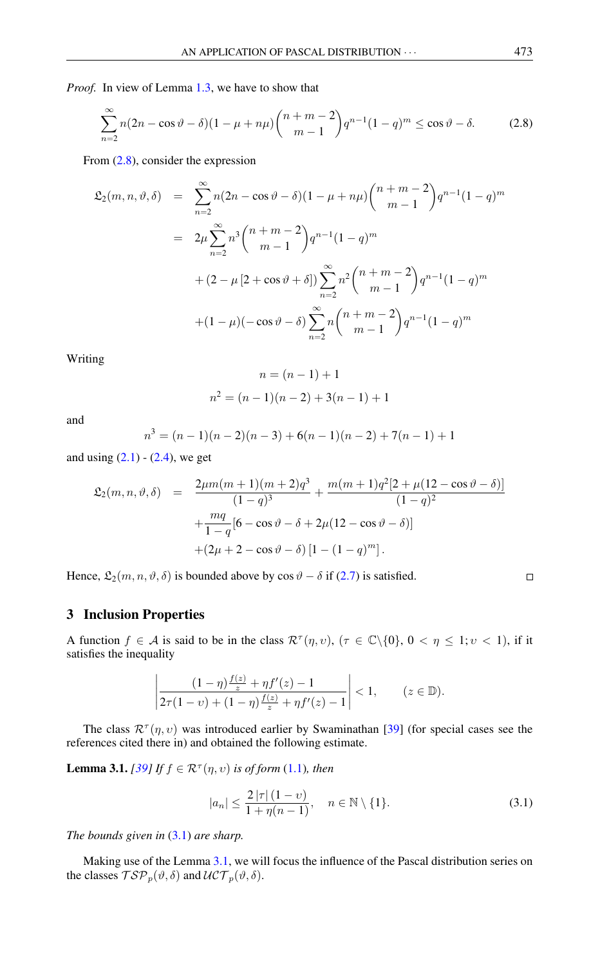*Proof.* In view of Lemma [1.3,](#page-2-3) we have to show that

<span id="page-4-0"></span>
$$
\sum_{n=2}^{\infty} n(2n - \cos \vartheta - \delta)(1 - \mu + n\mu) \binom{n+m-2}{m-1} q^{n-1} (1 - q)^m \le \cos \vartheta - \delta. \tag{2.8}
$$

From [\(2.8\)](#page-4-0), consider the expression

$$
\mathfrak{L}_{2}(m, n, \vartheta, \delta) = \sum_{n=2}^{\infty} n(2n - \cos \vartheta - \delta)(1 - \mu + n\mu) \binom{n+m-2}{m-1} q^{n-1} (1-q)^m
$$
  

$$
= 2\mu \sum_{n=2}^{\infty} n^3 \binom{n+m-2}{m-1} q^{n-1} (1-q)^m
$$
  

$$
+ (2 - \mu [2 + \cos \vartheta + \delta]) \sum_{n=2}^{\infty} n^2 \binom{n+m-2}{m-1} q^{n-1} (1-q)^m
$$
  

$$
+ (1 - \mu)(- \cos \vartheta - \delta) \sum_{n=2}^{\infty} n \binom{n+m-2}{m-1} q^{n-1} (1-q)^m
$$

Writing

$$
n = (n - 1) + 1
$$

$$
n2 = (n - 1)(n - 2) + 3(n - 1) + 1
$$

and

$$
n3 = (n - 1)(n - 2)(n - 3) + 6(n - 1)(n - 2) + 7(n - 1) + 1
$$

and using  $(2.1) - (2.4)$  $(2.1) - (2.4)$  $(2.1) - (2.4)$ , we get

$$
\mathfrak{L}_2(m, n, \vartheta, \delta) = \frac{2\mu m(m+1)(m+2)q^3}{(1-q)^3} + \frac{m(m+1)q^2[2+\mu(12-\cos\vartheta-\delta)]}{(1-q)^2} \n+ \frac{mq}{1-q}[6-\cos\vartheta-\delta+2\mu(12-\cos\vartheta-\delta)] \n+ (2\mu+2-\cos\vartheta-\delta)[1-(1-q)^m].
$$

Hence,  $\mathfrak{L}_2(m, n, \vartheta, \delta)$  is bounded above by cos  $\vartheta - \delta$  if [\(2.7\)](#page-3-2) is satisfied.

## 3 Inclusion Properties

A function  $f \in \mathcal{A}$  is said to be in the class  $\mathcal{R}^{\tau}(\eta, v)$ ,  $(\tau \in \mathbb{C}\backslash\{0\}, 0 < \eta \leq 1; v < 1)$ , if it satisfies the inequality

$$
\left|\frac{(1-\eta)\frac{f(z)}{z}+\eta f'(z)-1}{2\tau(1-\nu)+(1-\eta)\frac{f(z)}{z}+\eta f'(z)-1}\right|<1,\qquad (z\in\mathbb{D}).
$$

The class  $\mathcal{R}^{\tau}(\eta, v)$  was introduced earlier by Swaminathan [\[39\]](#page-9-2) (for special cases see the references cited there in) and obtained the following estimate.

<span id="page-4-2"></span>**Lemma 3.1.** *[\[39\]](#page-9-2) If*  $f \in \mathbb{R}^{\tau}(\eta, v)$  *is of form* [\(1.1\)](#page-0-0)*, then* 

<span id="page-4-1"></span>
$$
|a_n| \le \frac{2|\tau|(1-\nu)}{1+\eta(n-1)}, \quad n \in \mathbb{N} \setminus \{1\}.
$$
 (3.1)

*The bounds given in* [\(3.1\)](#page-4-1) *are sharp.*

Making use of the Lemma [3.1,](#page-4-2) we will focus the influence of the Pascal distribution series on the classes  $\mathcal{TSP}_p(\vartheta, \delta)$  and  $\mathcal{UCT}_p(\vartheta, \delta)$ .

 $\Box$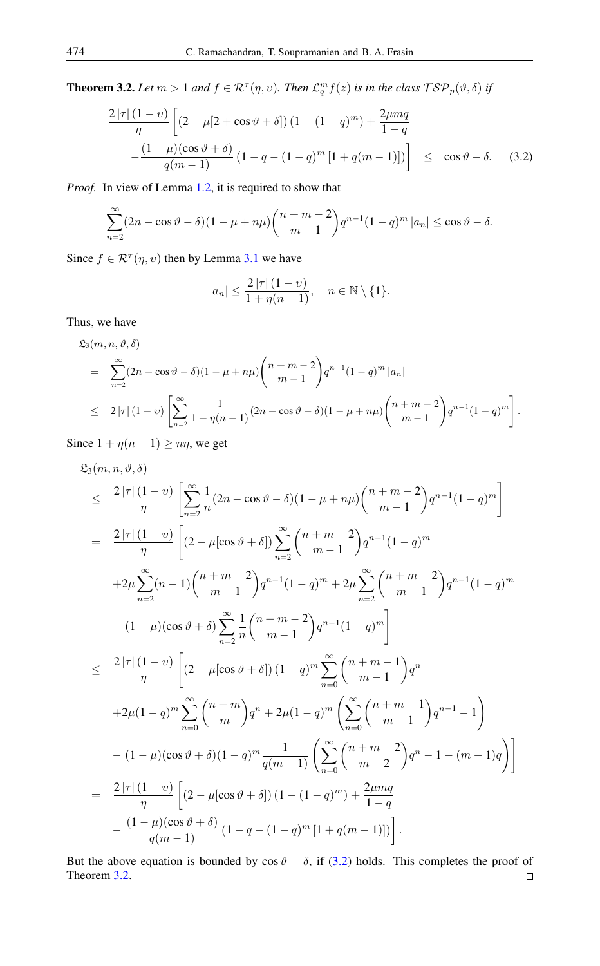<span id="page-5-1"></span>**Theorem 3.2.** Let  $m > 1$  and  $f \in \mathcal{R}^{\tau}(\eta, v)$ . Then  $\mathcal{L}_q^m f(z)$  is in the class  $\mathcal{T} \mathcal{S} \mathcal{P}_p(\vartheta, \delta)$  if

<span id="page-5-0"></span>
$$
\frac{2|\tau|(1-\nu)}{\eta} \left[ (2-\mu[2+\cos\vartheta+\delta]) (1-(1-q)^m) + \frac{2\mu mq}{1-q} \right]
$$
  
 
$$
-\frac{(1-\mu)(\cos\vartheta+\delta)}{q(m-1)} (1-q-(1-q)^m [1+q(m-1)]) \right] \leq \cos\vartheta-\delta. \quad (3.2)
$$

*Proof.* In view of Lemma [1.2,](#page-2-0) it is required to show that

$$
\sum_{n=2}^{\infty} (2n - \cos \vartheta - \delta)(1 - \mu + n\mu) {n+m-2 \choose m-1} q^{n-1} (1-q)^m |a_n| \le \cos \vartheta - \delta.
$$

Since  $f \in \mathcal{R}^{\tau}(\eta, v)$  then by Lemma [3.1](#page-4-2) we have

$$
|a_n| \le \frac{2|\tau| (1 - v)}{1 + \eta(n - 1)}, \quad n \in \mathbb{N} \setminus \{1\}.
$$

Thus, we have

$$
\mathfrak{L}_{3}(m, n, \vartheta, \delta)
$$
\n
$$
= \sum_{n=2}^{\infty} (2n - \cos \vartheta - \delta)(1 - \mu + n\mu) \binom{n+m-2}{m-1} q^{n-1} (1-q)^m |a_n|
$$
\n
$$
\leq 2 |\tau| (1-\nu) \left[ \sum_{n=2}^{\infty} \frac{1}{1 + \eta(n-1)} (2n - \cos \vartheta - \delta)(1 - \mu + n\mu) \binom{n+m-2}{m-1} q^{n-1} (1-q)^m \right].
$$

Since  $1 + \eta(n - 1) \geq n\eta$ , we get

$$
\mathfrak{L}_{3}(m, n, \vartheta, \delta)
$$
\n
$$
\leq \frac{2|\tau|(1-\upsilon)}{\eta} \left[ \sum_{n=2}^{\infty} \frac{1}{n} (2n - \cos \vartheta - \delta)(1 - \mu + n\mu) {n+m-2 \choose m-1} q^{n-1} (1-q)^m \right]
$$
\n
$$
= \frac{2|\tau|(1-\upsilon)}{\eta} \left[ (2 - \mu[\cos \vartheta + \delta]) \sum_{n=2}^{\infty} {n+m-2 \choose m-1} q^{n-1} (1-q)^m \right.
$$
\n
$$
+2\mu \sum_{n=2}^{\infty} (n-1) {n+m-2 \choose m-1} q^{n-1} (1-q)^m + 2\mu \sum_{n=2}^{\infty} {n+m-2 \choose m-1} q^{n-1} (1-q)^m
$$
\n
$$
- (1-\mu)(\cos \vartheta + \delta) \sum_{n=2}^{\infty} \frac{1}{n} {n+m-2 \choose m-1} q^{n-1} (1-q)^m \right]
$$
\n
$$
\leq \frac{2|\tau|(1-\upsilon)}{\eta} \left[ (2 - \mu[\cos \vartheta + \delta]) (1-q)^m \sum_{n=0}^{\infty} {n+m-1 \choose m-1} q^n
$$
\n
$$
+2\mu(1-q)^m \sum_{n=0}^{\infty} {n+m \choose m} q^n + 2\mu(1-q)^m \left( \sum_{n=0}^{\infty} {n+m-1 \choose m-1} q^{n-1} - 1 \right)
$$
\n
$$
- (1-\mu)(\cos \vartheta + \delta)(1-q)^m \frac{1}{q(m-1)} \left( \sum_{n=0}^{\infty} {n+m-2 \choose m-2} q^n - 1 - (m-1)q \right)
$$
\n
$$
= \frac{2|\tau|(1-\upsilon)}{\eta} \left[ (2-\mu[\cos \vartheta + \delta]) (1-(1-q)^m) + \frac{2\mu mq}{1-q}
$$
\n
$$
- \frac{(1-\mu)(\cos \vartheta + \delta)}{q(m-1)} (1-q - (1-q)^m [1+q(m-1)]) \right].
$$

But the above equation is bounded by  $\cos \theta - \delta$ , if [\(3.2\)](#page-5-0) holds. This completes the proof of Theorem [3.2.](#page-5-1) $\Box$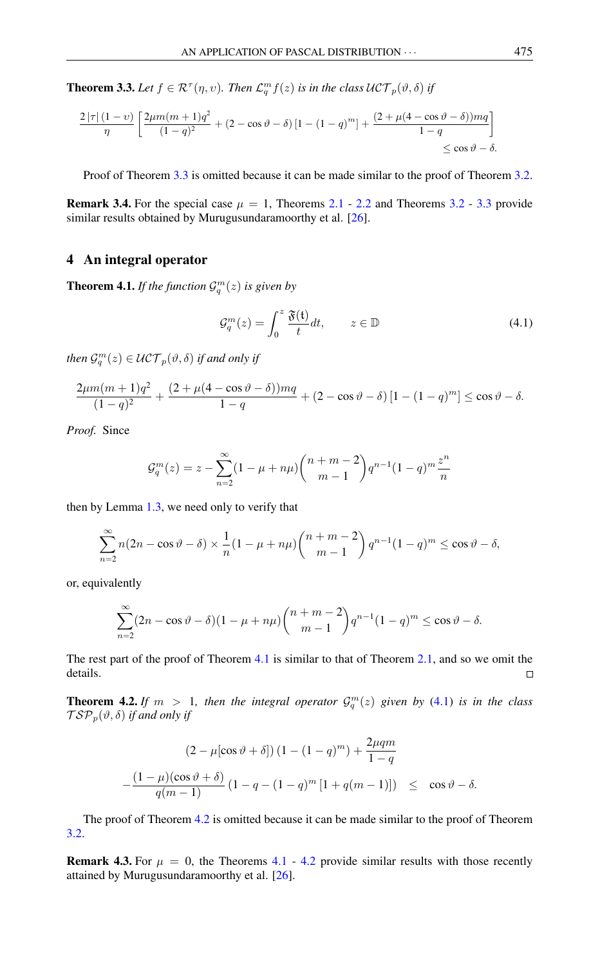<span id="page-6-0"></span>**Theorem 3.3.** Let  $f \in \mathcal{R}^{\tau}(\eta, v)$ . Then  $\mathcal{L}_q^m f(z)$  is in the class  $\mathcal{UCT}_p(\vartheta, \delta)$  if

$$
\frac{2\left|\tau\right|(1-\upsilon)}{\eta} \left[ \frac{2\mu m(m+1)q^2}{(1-q)^2} + (2-\cos\vartheta-\delta) \left[1-(1-q)^m\right] + \frac{(2+\mu(4-\cos\vartheta-\delta))mq}{1-q} \right] \le \cos\vartheta-\delta.
$$

Proof of Theorem [3.3](#page-6-0) is omitted because it can be made similar to the proof of Theorem [3.2.](#page-5-1)

**Remark 3.4.** For the special case  $\mu = 1$ , Theorems [2.1](#page-3-3) - [2.2](#page-3-4) and Theorems [3.2](#page-5-1) - [3.3](#page-6-0) provide similar results obtained by Murugusundaramoorthy et al. [\[26\]](#page-8-20).

#### 4 An integral operator

<span id="page-6-1"></span>**Theorem 4.1.** If the function  $\mathcal{G}_q^m(z)$  is given by

<span id="page-6-2"></span>
$$
\mathcal{G}_q^m(z) = \int_0^z \frac{\mathfrak{F}(t)}{t} dt, \qquad z \in \mathbb{D}
$$
 (4.1)

then  $\mathcal{G}_q^m(z) \in \mathcal{UCT}_p(\vartheta,\delta)$  if and only if

$$
\frac{2\mu m(m+1)q^2}{(1-q)^2} + \frac{(2+\mu(4-\cos\vartheta-\delta))mq}{1-q} + (2-\cos\vartheta-\delta)\left[1-(1-q)^m\right] \le \cos\vartheta-\delta.
$$

*Proof.* Since

$$
\mathcal{G}_q^m(z) = z - \sum_{n=2}^{\infty} (1 - \mu + n\mu) {n+m-2 \choose m-1} q^{n-1} (1-q)^m \frac{z^n}{n}
$$

then by Lemma [1.3,](#page-2-3) we need only to verify that

$$
\sum_{n=2}^{\infty} n(2n - \cos \vartheta - \delta) \times \frac{1}{n} (1 - \mu + n\mu) {n+m-2 \choose m-1} q^{n-1} (1-q)^m \le \cos \vartheta - \delta,
$$

or, equivalently

$$
\sum_{n=2}^{\infty} (2n - \cos \vartheta - \delta)(1 - \mu + n\mu) {n+m-2 \choose m-1} q^{n-1} (1-q)^m \le \cos \vartheta - \delta.
$$

The rest part of the proof of Theorem [4.1](#page-6-1) is similar to that of Theorem [2.1,](#page-3-3) and so we omit the details.  $\Box$ 

<span id="page-6-3"></span>**Theorem 4.2.** If  $m > 1$ , then the integral operator  $\mathcal{G}_q^m(z)$  given by [\(4.1\)](#page-6-2) is in the class  $\mathcal{TSP}_p(\vartheta, \delta)$  *if and only if* 

$$
(2 - \mu[\cos\vartheta + \delta]) (1 - (1 - q)^m) + \frac{2\mu qm}{1 - q}
$$

$$
-\frac{(1 - \mu)(\cos\vartheta + \delta)}{q(m - 1)} (1 - q - (1 - q)^m [1 + q(m - 1)]) \leq \cos\vartheta - \delta.
$$

The proof of Theorem [4.2](#page-6-3) is omitted because it can be made similar to the proof of Theorem [3.2.](#page-5-1)

**Remark 4.3.** For  $\mu = 0$ , the Theorems [4.1](#page-6-1) - [4.2](#page-6-3) provide similar results with those recently attained by Murugusundaramoorthy et al. [\[26\]](#page-8-20).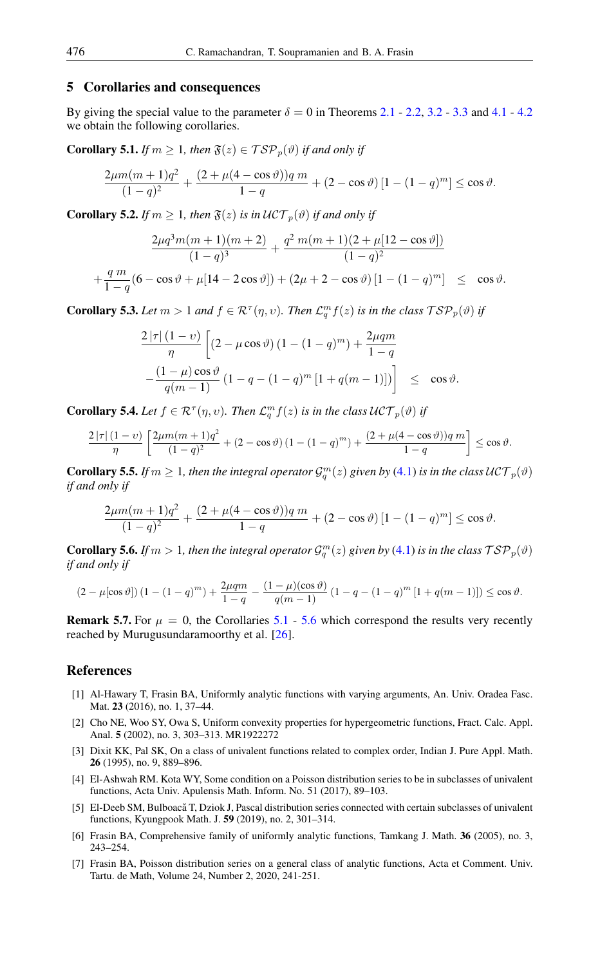## 5 Corollaries and consequences

By giving the special value to the parameter  $\delta = 0$  in Theorems [2.1](#page-3-3) - [2.2,](#page-3-4) [3.2](#page-5-1) - [3.3](#page-6-0) and [4.1](#page-6-1) - [4.2](#page-6-3) we obtain the following corollaries.

<span id="page-7-7"></span>**Corollary 5.1.** *If*  $m \geq 1$ *, then*  $\mathfrak{F}(z) \in \mathcal{TSP}_p(\vartheta)$  *if and only if* 

$$
\frac{2\mu m(m+1)q^2}{(1-q)^2} + \frac{(2+\mu(4-\cos\vartheta))q m}{1-q} + (2-\cos\vartheta)[1-(1-q)^m] \le \cos\vartheta.
$$

**Corollary 5.2.** *If*  $m \geq 1$ *, then*  $\mathfrak{F}(z)$  *is in*  $\mathcal{UCT}_p(\vartheta)$  *if and only if* 

$$
\frac{2\mu q^3 m(m+1)(m+2)}{(1-q)^3} + \frac{q^2 m(m+1)(2+\mu[12-\cos\vartheta])}{(1-q)^2}
$$

$$
+\frac{q m}{1-q}(6-\cos\vartheta+\mu[14-2\cos\vartheta])+(2\mu+2-\cos\vartheta)[1-(1-q)^m] \leq \cos\vartheta.
$$

**Corollary 5.3.** Let  $m > 1$  and  $f \in \mathcal{R}^{\tau}(\eta, v)$ . Then  $\mathcal{L}_q^m f(z)$  is in the class  $\mathcal{TSP}_p(\vartheta)$  if

$$
\frac{2|\tau|(1-\nu)}{\eta} \left[ (2-\mu\cos\vartheta)\left(1-(1-q)^m\right) + \frac{2\mu qm}{1-q} - \frac{(1-\mu)\cos\vartheta}{q(m-1)} \left(1-q-(1-q)^m\left[1+q(m-1)\right]\right) \right] \leq \cos\vartheta.
$$

**Corollary 5.4.** Let  $f \in \mathcal{R}^{\tau}(\eta, v)$ . Then  $\mathcal{L}_q^m f(z)$  is in the class  $\mathcal{U} \mathcal{CT}_p(\vartheta)$  if

$$
\frac{2\left|\tau\right|(1-\upsilon)}{\eta}\left[\frac{2\mu m(m+1)q^2}{(1-q)^2} + (2-\cos\vartheta)\left(1-(1-q)^m\right) + \frac{(2+\mu(4-\cos\vartheta))q m}{1-q}\right] \le \cos\vartheta.
$$

**Corollary 5.5.** If  $m \geq 1$ , then the integral operator  $\mathcal{G}_q^m(z)$  given by [\(4.1\)](#page-6-2) is in the class  $\mathcal{UCT}_p(\vartheta)$ *if and only if*

$$
\frac{2\mu m(m+1)q^2}{(1-q)^2} + \frac{(2+\mu(4-\cos\vartheta))q m}{1-q} + (2-\cos\vartheta)[1-(1-q)^m] \le \cos\vartheta.
$$

<span id="page-7-8"></span>**Corollary 5.6.** *If*  $m > 1$ , then the integral operator  $\mathcal{G}_q^m(z)$  given by [\(4.1\)](#page-6-2) is in the class  $\mathcal{TSP}_p(\vartheta)$ *if and only if*

$$
(2 - \mu[\cos \vartheta]) (1 - (1 - q)^m) + \frac{2\mu qm}{1 - q} - \frac{(1 - \mu)(\cos \vartheta)}{q(m - 1)} (1 - q - (1 - q)^m [1 + q(m - 1)]) \le \cos \vartheta.
$$

**Remark 5.7.** For  $\mu = 0$ , the Corollaries [5.1](#page-7-7) - [5.6](#page-7-8) which correspond the results very recently reached by Murugusundaramoorthy et al. [\[26\]](#page-8-20).

### <span id="page-7-0"></span>References

- <span id="page-7-2"></span>[1] Al-Hawary T, Frasin BA, Uniformly analytic functions with varying arguments, An. Univ. Oradea Fasc. Mat. 23 (2016), no. 1, 37–44.
- <span id="page-7-4"></span>[2] Cho NE, Woo SY, Owa S, Uniform convexity properties for hypergeometric functions, Fract. Calc. Appl. Anal. 5 (2002), no. 3, 303–313. MR1922272
- [3] Dixit KK, Pal SK, On a class of univalent functions related to complex order, Indian J. Pure Appl. Math. 26 (1995), no. 9, 889–896.
- <span id="page-7-5"></span>[4] El-Ashwah RM. Kota WY, Some condition on a Poisson distribution series to be in subclasses of univalent functions, Acta Univ. Apulensis Math. Inform. No. 51 (2017), 89–103.
- <span id="page-7-3"></span>[5] El-Deeb SM, Bulboacă T, Dziok J, Pascal distribution series connected with certain subclasses of univalent functions, Kyungpook Math. J. 59 (2019), no. 2, 301–314.
- <span id="page-7-1"></span>[6] Frasin BA, Comprehensive family of uniformly analytic functions, Tamkang J. Math. 36 (2005), no. 3, 243–254.
- <span id="page-7-6"></span>[7] Frasin BA, Poisson distribution series on a general class of analytic functions, Acta et Comment. Univ. Tartu. de Math, Volume 24, Number 2, 2020, 241-251.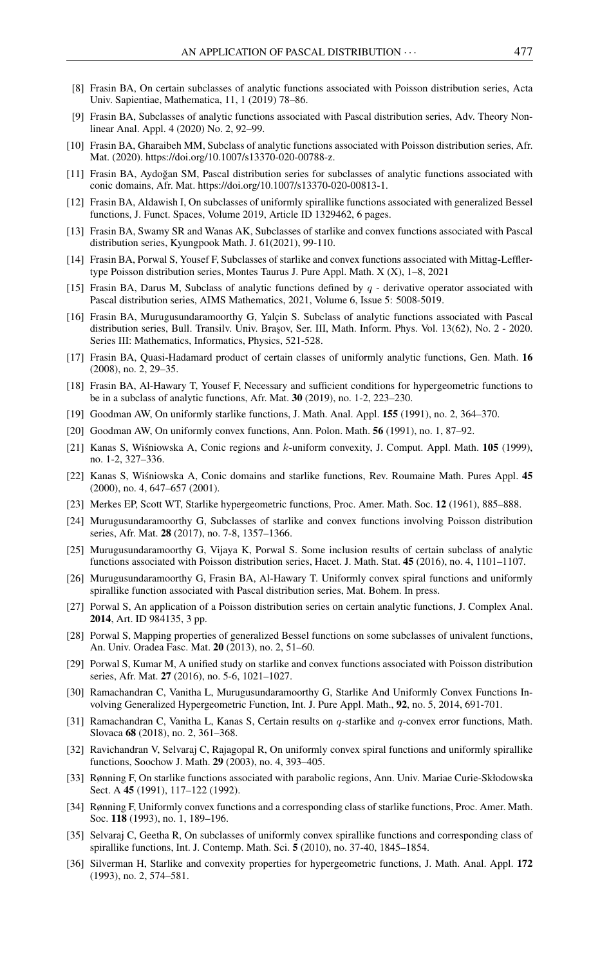- [8] Frasin BA, On certain subclasses of analytic functions associated with Poisson distribution series, Acta Univ. Sapientiae, Mathematica, 11, 1 (2019) 78–86.
- [9] Frasin BA, Subclasses of analytic functions associated with Pascal distribution series, Adv. Theory Nonlinear Anal. Appl. 4 (2020) No. 2, 92–99.
- [10] Frasin BA, Gharaibeh MM, Subclass of analytic functions associated with Poisson distribution series, Afr. Mat. (2020). https://doi.org/10.1007/s13370-020-00788-z.
- [11] Frasin BA, Aydoğan SM, Pascal distribution series for subclasses of analytic functions associated with conic domains, Afr. Mat. https://doi.org/10.1007/s13370-020-00813-1.
- [12] Frasin BA, Aldawish I, On subclasses of uniformly spirallike functions associated with generalized Bessel functions, J. Funct. Spaces, Volume 2019, Article ID 1329462, 6 pages.
- [13] Frasin BA, Swamy SR and Wanas AK, Subclasses of starlike and convex functions associated with Pascal distribution series, Kyungpook Math. J. 61(2021), 99-110.
- [14] Frasin BA, Porwal S, Yousef F, Subclasses of starlike and convex functions associated with Mittag-Lefflertype Poisson distribution series, Montes Taurus J. Pure Appl. Math. X (X), 1–8, 2021
- [15] Frasin BA, Darus M, Subclass of analytic functions defined by  $q$  derivative operator associated with Pascal distribution series, AIMS Mathematics, 2021, Volume 6, Issue 5: 5008-5019.
- <span id="page-8-13"></span>[16] Frasin BA, Murugusundaramoorthy G, Yalçin S. Subclass of analytic functions associated with Pascal distribution series, Bull. Transilv. Univ. Braşov, Ser. III, Math. Inform. Phys. Vol. 13(62), No. 2 - 2020. Series III: Mathematics, Informatics, Physics, 521-528.
- <span id="page-8-3"></span>[17] Frasin BA, Quasi-Hadamard product of certain classes of uniformly analytic functions, Gen. Math. 16 (2008), no. 2, 29–35.
- <span id="page-8-9"></span>[18] Frasin BA, Al-Hawary T, Yousef F, Necessary and sufficient conditions for hypergeometric functions to be in a subclass of analytic functions, Afr. Mat. 30 (2019), no. 1-2, 223–230.
- <span id="page-8-5"></span>[19] Goodman AW, On uniformly starlike functions, J. Math. Anal. Appl. 155 (1991), no. 2, 364–370.
- <span id="page-8-4"></span>[20] Goodman AW, On uniformly convex functions, Ann. Polon. Math. 56 (1991), no. 1, 87–92.
- <span id="page-8-6"></span>[21] Kanas S, Wisniowska A, Conic regions and k-uniform convexity, J. Comput. Appl. Math. 105 (1999), no. 1-2, 327–336.
- <span id="page-8-7"></span>[22] Kanas S, Wisniowska A, Conic domains and starlike functions, Rev. Roumaine Math. Pures Appl. 45 (2000), no. 4, 647–657 (2001).
- <span id="page-8-10"></span>[23] Merkes EP, Scott WT, Starlike hypergeometric functions, Proc. Amer. Math. Soc. 12 (1961), 885–888.
- <span id="page-8-14"></span>[24] Murugusundaramoorthy G, Subclasses of starlike and convex functions involving Poisson distribution series, Afr. Mat. 28 (2017), no. 7-8, 1357–1366.
- <span id="page-8-15"></span>[25] Murugusundaramoorthy G, Vijaya K, Porwal S. Some inclusion results of certain subclass of analytic functions associated with Poisson distribution series, Hacet. J. Math. Stat. 45 (2016), no. 4, 1101–1107.
- <span id="page-8-20"></span>[26] Murugusundaramoorthy G, Frasin BA, Al-Hawary T. Uniformly convex spiral functions and uniformly spirallike function associated with Pascal distribution series, Mat. Bohem. In press.
- <span id="page-8-16"></span>[27] Porwal S, An application of a Poisson distribution series on certain analytic functions, J. Complex Anal. 2014, Art. ID 984135, 3 pp.
- <span id="page-8-17"></span>[28] Porwal S, Mapping properties of generalized Bessel functions on some subclasses of univalent functions, An. Univ. Oradea Fasc. Mat. 20 (2013), no. 2, 51–60.
- <span id="page-8-18"></span>[29] Porwal S, Kumar M, A unified study on starlike and convex functions associated with Poisson distribution series, Afr. Mat. 27 (2016), no. 5-6, 1021–1027.
- <span id="page-8-12"></span>[30] Ramachandran C, Vanitha L, Murugusundaramoorthy G, Starlike And Uniformly Convex Functions Involving Generalized Hypergeometric Function, Int. J. Pure Appl. Math., 92, no. 5, 2014, 691-701.
- <span id="page-8-19"></span>[31] Ramachandran C, Vanitha L, Kanas S, Certain results on q-starlike and q-convex error functions, Math. Slovaca 68 (2018), no. 2, 361–368.
- <span id="page-8-1"></span>[32] Ravichandran V, Selvaraj C, Rajagopal R, On uniformly convex spiral functions and uniformly spirallike functions, Soochow J. Math. 29 (2003), no. 4, 393–405.
- <span id="page-8-8"></span>[33] Rønning F, On starlike functions associated with parabolic regions, Ann. Univ. Mariae Curie-Skłodowska Sect. A 45 (1991), 117–122 (1992).
- <span id="page-8-2"></span>[34] Rønning F, Uniformly convex functions and a corresponding class of starlike functions, Proc. Amer. Math. Soc. 118 (1993), no. 1, 189–196.
- <span id="page-8-0"></span>[35] Selvaraj C, Geetha R, On subclasses of uniformly convex spirallike functions and corresponding class of spirallike functions, Int. J. Contemp. Math. Sci. 5 (2010), no. 37-40, 1845–1854.
- <span id="page-8-11"></span>[36] Silverman H, Starlike and convexity properties for hypergeometric functions, J. Math. Anal. Appl. 172 (1993), no. 2, 574–581.